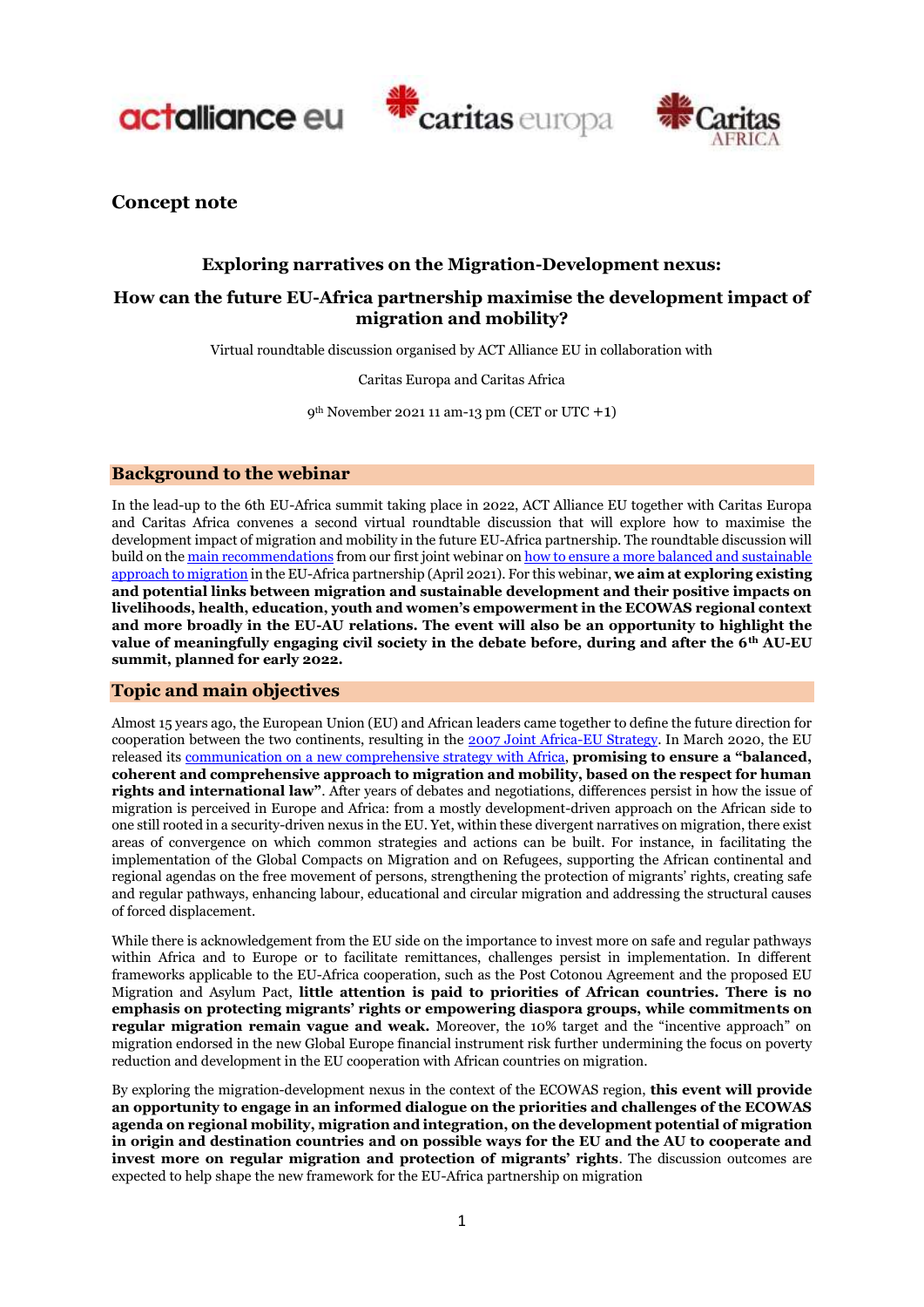





**Concept note**

# **Exploring narratives on the Migration-Development nexus:**

# **How can the future EU-Africa partnership maximise the development impact of migration and mobility?**

Virtual roundtable discussion organised by ACT Alliance EU in collaboration with

Caritas Europa and Caritas Africa

9th November 2021 11 am-13 pm (CET or UTC +1)

# **Background to the webinar**

In the lead-up to the 6th EU-Africa summit taking place in 2022, ACT Alliance EU together with Caritas Europa and Caritas Africa convenes a second virtual roundtable discussion that will explore how to maximise the development impact of migration and mobility in the future EU-Africa partnership. The roundtable discussion will build on th[e main recommendations](https://actalliance.eu/news-post/shifting-the-eu-au-dialogue-toward-more-transformative-actions-how-can-the-new-eu-africa-partnership-take-a-balanced-and-sustainable-approach-to-migration/) from our first joint webinar o[n how to ensure a more balanced and sustainable](https://www.caritas.eu/eu-africa-partnership/)  [approach to migration](https://www.caritas.eu/eu-africa-partnership/) in the EU-Africa partnership (April 2021). For this webinar, **we aim at exploring existing and potential links between migration and sustainable development and their positive impacts on livelihoods, health, education, youth and women's empowerment in the ECOWAS regional context and more broadly in the EU-AU relations. The event will also be an opportunity to highlight the value of meaningfully engaging civil society in the debate before, during and after the 6th AU-EU summit, planned for early 2022.**

# **Topic and main objectives**

Almost 15 years ago, the European Union (EU) and African leaders came together to define the future direction for cooperation between the two continents, resulting in the [2007 Joint Africa-EU Strategy.](https://www.consilium.europa.eu/uedocs/cms_data/docs/pressdata/en/er/97496.pdf) In March 2020, the EU released its [communication on a new comprehensive strategy](https://ec.europa.eu/international-partnerships/system/files/communication-eu-africa-strategy-join-2020-4-final_en.pdf) with Africa, **promising to ensure a "balanced, coherent and comprehensive approach to migration and mobility, based on the respect for human rights and international law"**. After years of debates and negotiations, differences persist in how the issue of migration is perceived in Europe and Africa: from a mostly development-driven approach on the African side to one still rooted in a security-driven nexus in the EU. Yet, within these divergent narratives on migration, there exist areas of convergence on which common strategies and actions can be built. For instance, in facilitating the implementation of the Global Compacts on Migration and on Refugees, supporting the African continental and regional agendas on the free movement of persons, strengthening the protection of migrants' rights, creating safe and regular pathways, enhancing labour, educational and circular migration and addressing the structural causes of forced displacement.

While there is acknowledgement from the EU side on the importance to invest more on safe and regular pathways within Africa and to Europe or to facilitate remittances, challenges persist in implementation. In different frameworks applicable to the EU-Africa cooperation, such as the Post Cotonou Agreement and the proposed EU Migration and Asylum Pact, **little attention is paid to priorities of African countries. There is no emphasis on protecting migrants' rights or empowering diaspora groups, while commitments on regular migration remain vague and weak.** Moreover, the 10% target and the "incentive approach" on migration endorsed in the new Global Europe financial instrument risk further undermining the focus on poverty reduction and development in the EU cooperation with African countries on migration.

By exploring the migration-development nexus in the context of the ECOWAS region, **this event will provide an opportunity to engage in an informed dialogue on the priorities and challenges of the ECOWAS agenda on regional mobility, migration and integration, on the development potential of migration in origin and destination countries and on possible ways for the EU and the AU to cooperate and invest more on regular migration and protection of migrants' rights**. The discussion outcomes are expected to help shape the new framework for the EU-Africa partnership on migration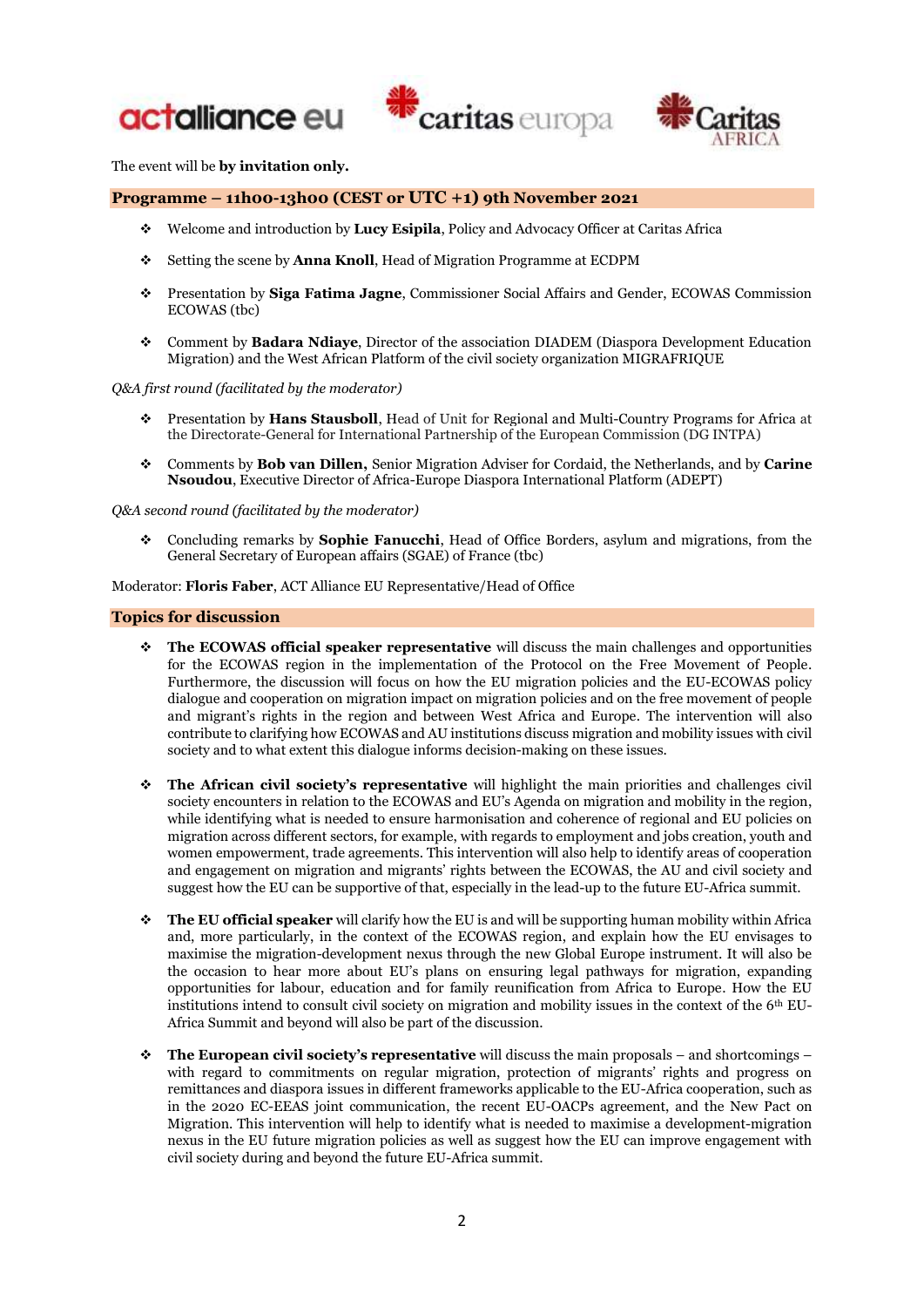





The event will be **by invitation only.**

# **Programme – 11h00-13h00 (CEST or UTC +1) 9th November 2021**

- ❖ Welcome and introduction by **Lucy Esipila**, Policy and Advocacy Officer at Caritas Africa
- ❖ Setting the scene by **Anna Knoll**, Head of Migration Programme at ECDPM
- ❖ Presentation by **Siga Fatima Jagne**, Commissioner Social Affairs and Gender, ECOWAS Commission ECOWAS (tbc)
- ❖ Comment by **Badara Ndiaye**, Director of the association DIADEM (Diaspora Development Education Migration) and the West African Platform of the civil society organization MIGRAFRIQUE

#### *Q&A first round (facilitated by the moderator)*

- ❖ Presentation by **Hans Stausboll**, Head of Unit for Regional and Multi-Country Programs for Africa at the Directorate-General for International Partnership of the European Commission (DG INTPA)
- ❖ Comments by **Bob van Dillen,** Senior Migration Adviser for Cordaid, the Netherlands, and by **Carine Nsoudou**, Executive Director of Africa-Europe Diaspora International Platform (ADEPT)

*Q&A second round (facilitated by the moderator)*

❖ Concluding remarks by **Sophie Fanucchi**, Head of Office Borders, asylum and migrations, from the General Secretary of European affairs (SGAE) of France (tbc)

Moderator: **Floris Faber**, ACT Alliance EU Representative/Head of Office

#### **Topics for discussion**

- ❖ **The ECOWAS official speaker representative** will discuss the main challenges and opportunities for the ECOWAS region in the implementation of the Protocol on the Free Movement of People. Furthermore, the discussion will focus on how the EU migration policies and the EU-ECOWAS policy dialogue and cooperation on migration impact on migration policies and on the free movement of people and migrant's rights in the region and between West Africa and Europe. The intervention will also contribute to clarifying how ECOWAS and AU institutions discuss migration and mobility issues with civil society and to what extent this dialogue informs decision-making on these issues.
- ❖ **The African civil society's representative** will highlight the main priorities and challenges civil society encounters in relation to the ECOWAS and EU's Agenda on migration and mobility in the region, while identifying what is needed to ensure harmonisation and coherence of regional and EU policies on migration across different sectors, for example, with regards to employment and jobs creation, youth and women empowerment, trade agreements. This intervention will also help to identify areas of cooperation and engagement on migration and migrants' rights between the ECOWAS, the AU and civil society and suggest how the EU can be supportive of that, especially in the lead-up to the future EU-Africa summit.
- ❖ **The EU official speaker** will clarify how the EU is and will be supporting human mobility within Africa and, more particularly, in the context of the ECOWAS region, and explain how the EU envisages to maximise the migration-development nexus through the new Global Europe instrument. It will also be the occasion to hear more about EU's plans on ensuring legal pathways for migration, expanding opportunities for labour, education and for family reunification from Africa to Europe. How the EU institutions intend to consult civil society on migration and mobility issues in the context of the 6<sup>th</sup> EU-Africa Summit and beyond will also be part of the discussion.
- ❖ **The European civil society's representative** will discuss the main proposals and shortcomings with regard to commitments on regular migration, protection of migrants' rights and progress on remittances and diaspora issues in different frameworks applicable to the EU-Africa cooperation, such as in the 2020 EC-EEAS joint communication, the recent EU-OACPs agreement, and the New Pact on Migration. This intervention will help to identify what is needed to maximise a development-migration nexus in the EU future migration policies as well as suggest how the EU can improve engagement with civil society during and beyond the future EU-Africa summit.